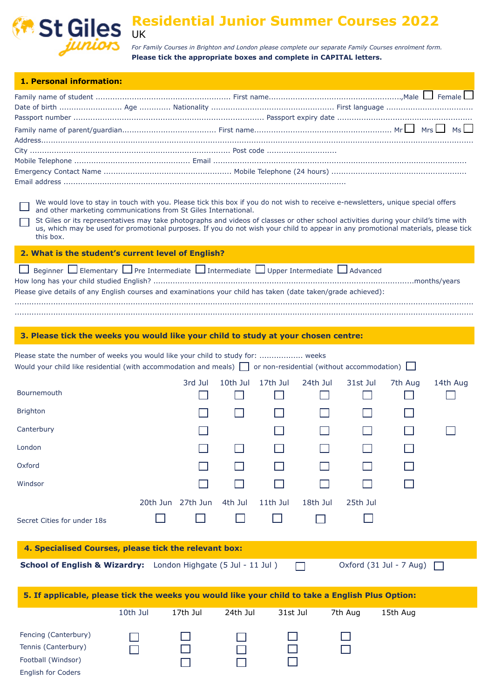

## **Residential Junior Summer Courses 2022** UK

*For Family Courses in Brighton and London please complete our separate Family Courses enrolment form.* **Please tick the appropriate boxes and complete in CAPITAL letters.**

| 1. Personal information:                                                                                                                                                                                                                                                                                                                                                                                                                                                                     |                   |          |          |          |          |          |                         |          |  |  |  |
|----------------------------------------------------------------------------------------------------------------------------------------------------------------------------------------------------------------------------------------------------------------------------------------------------------------------------------------------------------------------------------------------------------------------------------------------------------------------------------------------|-------------------|----------|----------|----------|----------|----------|-------------------------|----------|--|--|--|
|                                                                                                                                                                                                                                                                                                                                                                                                                                                                                              |                   |          |          |          |          |          |                         |          |  |  |  |
|                                                                                                                                                                                                                                                                                                                                                                                                                                                                                              |                   |          |          |          |          |          |                         |          |  |  |  |
|                                                                                                                                                                                                                                                                                                                                                                                                                                                                                              |                   |          |          |          |          |          |                         |          |  |  |  |
|                                                                                                                                                                                                                                                                                                                                                                                                                                                                                              |                   |          |          |          |          |          |                         |          |  |  |  |
|                                                                                                                                                                                                                                                                                                                                                                                                                                                                                              |                   |          |          |          |          |          |                         |          |  |  |  |
|                                                                                                                                                                                                                                                                                                                                                                                                                                                                                              |                   |          |          |          |          |          |                         |          |  |  |  |
| We would love to stay in touch with you. Please tick this box if you do not wish to receive e-newsletters, unique special offers<br>and other marketing communications from St Giles International.<br>St Giles or its representatives may take photographs and videos of classes or other school activities during your child's time with<br>us, which may be used for promotional purposes. If you do not wish your child to appear in any promotional materials, please tick<br>this box. |                   |          |          |          |          |          |                         |          |  |  |  |
| 2. What is the student's current level of English?                                                                                                                                                                                                                                                                                                                                                                                                                                           |                   |          |          |          |          |          |                         |          |  |  |  |
| Beginner $\Box$ Elementary $\Box$ Pre Intermediate $\Box$ Intermediate $\Box$ Upper Intermediate $\Box$ Advanced<br>Please give details of any English courses and examinations your child has taken (date taken/grade achieved):                                                                                                                                                                                                                                                            |                   |          |          |          |          |          |                         |          |  |  |  |
|                                                                                                                                                                                                                                                                                                                                                                                                                                                                                              |                   |          |          |          |          |          |                         |          |  |  |  |
| 3. Please tick the weeks you would like your child to study at your chosen centre:                                                                                                                                                                                                                                                                                                                                                                                                           |                   |          |          |          |          |          |                         |          |  |  |  |
| Please state the number of weeks you would like your child to study for:  weeks<br>Would your child like residential (with accommodation and meals) $\Box$ or non-residential (without accommodation) $\Box$                                                                                                                                                                                                                                                                                 |                   |          |          |          |          |          |                         |          |  |  |  |
| Bournemouth                                                                                                                                                                                                                                                                                                                                                                                                                                                                                  |                   | 3rd Jul  | 10th Jul | 17th Jul | 24th Jul | 31st Jul | 7th Aug                 | 14th Aug |  |  |  |
| <b>Brighton</b>                                                                                                                                                                                                                                                                                                                                                                                                                                                                              |                   |          |          |          |          |          |                         |          |  |  |  |
| Canterbury                                                                                                                                                                                                                                                                                                                                                                                                                                                                                   |                   |          |          |          |          |          |                         |          |  |  |  |
| London                                                                                                                                                                                                                                                                                                                                                                                                                                                                                       |                   |          |          |          |          |          |                         |          |  |  |  |
| Oxford                                                                                                                                                                                                                                                                                                                                                                                                                                                                                       |                   |          |          |          |          |          |                         |          |  |  |  |
| Windsor                                                                                                                                                                                                                                                                                                                                                                                                                                                                                      |                   |          |          |          |          |          |                         |          |  |  |  |
|                                                                                                                                                                                                                                                                                                                                                                                                                                                                                              | 20th Jun 27th Jun |          | 4th Jul  | 11th Jul | 18th Jul | 25th Jul |                         |          |  |  |  |
| Secret Cities for under 18s                                                                                                                                                                                                                                                                                                                                                                                                                                                                  |                   |          |          |          |          |          |                         |          |  |  |  |
| 4. Specialised Courses, please tick the relevant box:                                                                                                                                                                                                                                                                                                                                                                                                                                        |                   |          |          |          |          |          |                         |          |  |  |  |
| School of English & Wizardry: London Highgate (5 Jul - 11 Jul)                                                                                                                                                                                                                                                                                                                                                                                                                               |                   |          |          |          |          |          | Oxford (31 Jul - 7 Aug) |          |  |  |  |
|                                                                                                                                                                                                                                                                                                                                                                                                                                                                                              |                   |          |          |          |          |          |                         |          |  |  |  |
| 5. If applicable, please tick the weeks you would like your child to take a English Plus Option:                                                                                                                                                                                                                                                                                                                                                                                             |                   |          |          |          |          |          |                         |          |  |  |  |
|                                                                                                                                                                                                                                                                                                                                                                                                                                                                                              | 10th Jul          | 17th Jul | 24th Jul | 31st Jul |          | 7th Aug  | 15th Aug                |          |  |  |  |
| Fencing (Canterbury)                                                                                                                                                                                                                                                                                                                                                                                                                                                                         |                   |          |          |          |          |          |                         |          |  |  |  |
| Tennis (Canterbury)                                                                                                                                                                                                                                                                                                                                                                                                                                                                          |                   |          |          |          |          |          |                         |          |  |  |  |
| Football (Windsor)<br>English for Coders                                                                                                                                                                                                                                                                                                                                                                                                                                                     |                   |          |          |          |          |          |                         |          |  |  |  |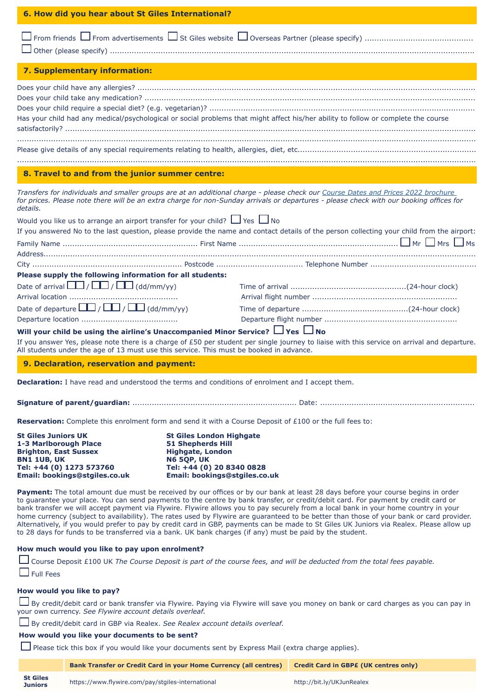| 6. How did you hear about St Giles International?                                                                                                                                                                       |                                                                                                                                                                           |                                                                                                                                                                                                                                                                                                                                                                                                                                                                                                                                                                                                                                                                                                       |  |  |  |  |  |  |  |
|-------------------------------------------------------------------------------------------------------------------------------------------------------------------------------------------------------------------------|---------------------------------------------------------------------------------------------------------------------------------------------------------------------------|-------------------------------------------------------------------------------------------------------------------------------------------------------------------------------------------------------------------------------------------------------------------------------------------------------------------------------------------------------------------------------------------------------------------------------------------------------------------------------------------------------------------------------------------------------------------------------------------------------------------------------------------------------------------------------------------------------|--|--|--|--|--|--|--|
|                                                                                                                                                                                                                         |                                                                                                                                                                           |                                                                                                                                                                                                                                                                                                                                                                                                                                                                                                                                                                                                                                                                                                       |  |  |  |  |  |  |  |
| 7. Supplementary information:                                                                                                                                                                                           |                                                                                                                                                                           |                                                                                                                                                                                                                                                                                                                                                                                                                                                                                                                                                                                                                                                                                                       |  |  |  |  |  |  |  |
| Has your child had any medical/psychological or social problems that might affect his/her ability to follow or complete the course                                                                                      |                                                                                                                                                                           |                                                                                                                                                                                                                                                                                                                                                                                                                                                                                                                                                                                                                                                                                                       |  |  |  |  |  |  |  |
|                                                                                                                                                                                                                         |                                                                                                                                                                           |                                                                                                                                                                                                                                                                                                                                                                                                                                                                                                                                                                                                                                                                                                       |  |  |  |  |  |  |  |
| 8. Travel to and from the junior summer centre:                                                                                                                                                                         |                                                                                                                                                                           |                                                                                                                                                                                                                                                                                                                                                                                                                                                                                                                                                                                                                                                                                                       |  |  |  |  |  |  |  |
| details.                                                                                                                                                                                                                |                                                                                                                                                                           | Transfers for individuals and smaller groups are at an additional charge - please check our Course Dates and Prices 2022 brochure<br>for prices. Please note there will be an extra charge for non-Sunday arrivals or departures - please check with our booking offices for                                                                                                                                                                                                                                                                                                                                                                                                                          |  |  |  |  |  |  |  |
| Would you like us to arrange an airport transfer for your child? $\Box$ Yes $\Box$ No                                                                                                                                   |                                                                                                                                                                           |                                                                                                                                                                                                                                                                                                                                                                                                                                                                                                                                                                                                                                                                                                       |  |  |  |  |  |  |  |
|                                                                                                                                                                                                                         |                                                                                                                                                                           | If you answered No to the last question, please provide the name and contact details of the person collecting your child from the airport:                                                                                                                                                                                                                                                                                                                                                                                                                                                                                                                                                            |  |  |  |  |  |  |  |
|                                                                                                                                                                                                                         |                                                                                                                                                                           |                                                                                                                                                                                                                                                                                                                                                                                                                                                                                                                                                                                                                                                                                                       |  |  |  |  |  |  |  |
|                                                                                                                                                                                                                         |                                                                                                                                                                           |                                                                                                                                                                                                                                                                                                                                                                                                                                                                                                                                                                                                                                                                                                       |  |  |  |  |  |  |  |
| Please supply the following information for all students:                                                                                                                                                               |                                                                                                                                                                           |                                                                                                                                                                                                                                                                                                                                                                                                                                                                                                                                                                                                                                                                                                       |  |  |  |  |  |  |  |
| Date of arrival $\Box$ / $\Box$ / $\Box$ (dd/mm/yy)                                                                                                                                                                     |                                                                                                                                                                           |                                                                                                                                                                                                                                                                                                                                                                                                                                                                                                                                                                                                                                                                                                       |  |  |  |  |  |  |  |
| Date of departure $\boxed{\square}$ / $\boxed{\square}$ / $\boxed{\square}$ (dd/mm/yy)                                                                                                                                  |                                                                                                                                                                           |                                                                                                                                                                                                                                                                                                                                                                                                                                                                                                                                                                                                                                                                                                       |  |  |  |  |  |  |  |
|                                                                                                                                                                                                                         |                                                                                                                                                                           |                                                                                                                                                                                                                                                                                                                                                                                                                                                                                                                                                                                                                                                                                                       |  |  |  |  |  |  |  |
| Will your child be using the airline's Unaccompanied Minor Service? $\Box$ Yes $\Box$ No<br>All students under the age of 13 must use this service. This must be booked in advance.                                     |                                                                                                                                                                           | If you answer Yes, please note there is a charge of £50 per student per single journey to liaise with this service on arrival and departure.                                                                                                                                                                                                                                                                                                                                                                                                                                                                                                                                                          |  |  |  |  |  |  |  |
|                                                                                                                                                                                                                         |                                                                                                                                                                           |                                                                                                                                                                                                                                                                                                                                                                                                                                                                                                                                                                                                                                                                                                       |  |  |  |  |  |  |  |
| 9. Declaration, reservation and payment:                                                                                                                                                                                |                                                                                                                                                                           |                                                                                                                                                                                                                                                                                                                                                                                                                                                                                                                                                                                                                                                                                                       |  |  |  |  |  |  |  |
| <b>Declaration:</b> I have read and understood the terms and conditions of enrolment and I accept them.                                                                                                                 |                                                                                                                                                                           |                                                                                                                                                                                                                                                                                                                                                                                                                                                                                                                                                                                                                                                                                                       |  |  |  |  |  |  |  |
|                                                                                                                                                                                                                         |                                                                                                                                                                           |                                                                                                                                                                                                                                                                                                                                                                                                                                                                                                                                                                                                                                                                                                       |  |  |  |  |  |  |  |
| Reservation: Complete this enrolment form and send it with a Course Deposit of £100 or the full fees to:                                                                                                                |                                                                                                                                                                           |                                                                                                                                                                                                                                                                                                                                                                                                                                                                                                                                                                                                                                                                                                       |  |  |  |  |  |  |  |
| <b>St Giles Juniors UK</b><br>1-3 Marlborough Place<br><b>Brighton, East Sussex</b><br><b>BN1 1UB, UK</b><br>Tel: +44 (0) 1273 573760<br>Email: bookings@stgiles.co.uk                                                  | <b>St Giles London Highgate</b><br><b>51 Shepherds Hill</b><br><b>Highgate, London</b><br><b>N6 5QP, UK</b><br>Tel: +44 (0) 20 8340 0828<br>Email: bookings@stgiles.co.uk |                                                                                                                                                                                                                                                                                                                                                                                                                                                                                                                                                                                                                                                                                                       |  |  |  |  |  |  |  |
| to 28 days for funds to be transferred via a bank. UK bank charges (if any) must be paid by the student.                                                                                                                |                                                                                                                                                                           | Payment: The total amount due must be received by our offices or by our bank at least 28 days before your course begins in order<br>to guarantee your place. You can send payments to the centre by bank transfer, or credit/debit card. For payment by credit card or<br>bank transfer we will accept payment via Flywire. Flywire allows you to pay securely from a local bank in your home country in your<br>home currency (subject to availability). The rates used by Flywire are guaranteed to be better than those of your bank or card provider.<br>Alternatively, if you would prefer to pay by credit card in GBP, payments can be made to St Giles UK Juniors via Realex. Please allow up |  |  |  |  |  |  |  |
| How much would you like to pay upon enrolment?<br><b>Full Fees</b>                                                                                                                                                      |                                                                                                                                                                           | Course Deposit £100 UK The Course Deposit is part of the course fees, and will be deducted from the total fees payable.                                                                                                                                                                                                                                                                                                                                                                                                                                                                                                                                                                               |  |  |  |  |  |  |  |
| How would you like to pay?<br>your own currency. See Flywire account details overleaf.<br>By credit/debit card in GBP via Realex. See Realex account details overleaf.<br>How would you like your documents to be sent? |                                                                                                                                                                           | By credit/debit card or bank transfer via Flywire. Paying via Flywire will save you money on bank or card charges as you can pay in                                                                                                                                                                                                                                                                                                                                                                                                                                                                                                                                                                   |  |  |  |  |  |  |  |
| □ Please tick this box if you would like your documents sent by Express Mail (extra charge applies).                                                                                                                    |                                                                                                                                                                           |                                                                                                                                                                                                                                                                                                                                                                                                                                                                                                                                                                                                                                                                                                       |  |  |  |  |  |  |  |
|                                                                                                                                                                                                                         | <b>Bank Transfer or Credit Card in your Home Currency (all centres)</b>                                                                                                   | <b>Credit Card in GBPE (UK centres only)</b>                                                                                                                                                                                                                                                                                                                                                                                                                                                                                                                                                                                                                                                          |  |  |  |  |  |  |  |